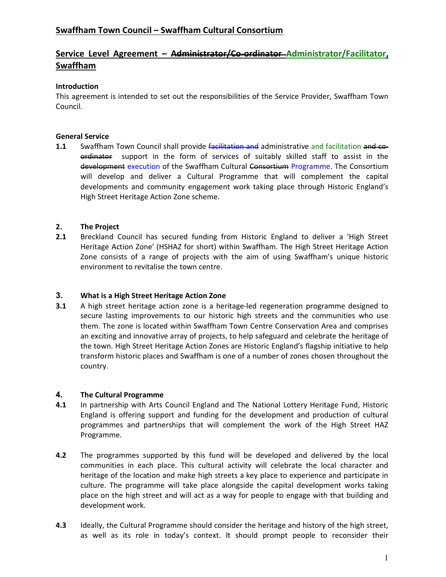# Swaffham Town Council – Swaffham Cultural Consortium

# Service Level Agreement - Administrator/Co-ordinator-Administrator/Facilitator, Swaffham

# Introduction

This agreement is intended to set out the responsibilities of the Service Provider, Swaffham Town Council.

# General Service

1.1 Swaffham Town Council shall provide facilitation and administrative and facilitation and coordinator support in the form of services of suitably skilled staff to assist in the development execution of the Swaffham Cultural Consortium Programme. The Consortium will develop and deliver a Cultural Programme that will complement the capital developments and community engagement work taking place through Historic England's High Street Heritage Action Zone scheme.

# 2. The Project

2.1 Breckland Council has secured funding from Historic England to deliver a 'High Street Heritage Action Zone' (HSHAZ for short) within Swaffham. The High Street Heritage Action Zone consists of a range of projects with the aim of using Swaffham's unique historic environment to revitalise the town centre.

## 3. What is a High Street Heritage Action Zone

**3.1** A high street heritage action zone is a heritage-led regeneration programme designed to secure lasting improvements to our historic high streets and the communities who use them. The zone is located within Swaffham Town Centre Conservation Area and comprises an exciting and innovative array of projects, to help safeguard and celebrate the heritage of the town. High Street Heritage Action Zones are Historic England's flagship initiative to help transform historic places and Swaffham is one of a number of zones chosen throughout the country.

## 4. The Cultural Programme

- 4.1 In partnership with Arts Council England and The National Lottery Heritage Fund, Historic England is offering support and funding for the development and production of cultural programmes and partnerships that will complement the work of the High Street HAZ Programme.
- **4.2** The programmes supported by this fund will be developed and delivered by the local communities in each place. This cultural activity will celebrate the local character and heritage of the location and make high streets a key place to experience and participate in culture. The programme will take place alongside the capital development works taking place on the high street and will act as a way for people to engage with that building and development work.
- 4.3 Ideally, the Cultural Programme should consider the heritage and history of the high street, as well as its role in today's context. It should prompt people to reconsider their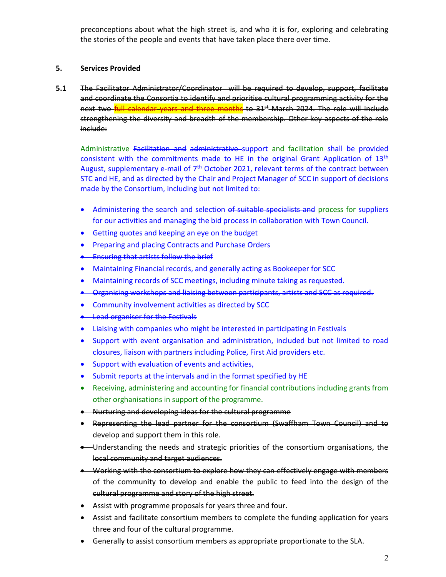preconceptions about what the high street is, and who it is for, exploring and celebrating the stories of the people and events that have taken place there over time.

# 5. Services Provided

5.1 The Facilitator Administrator/Coordinator will be required to develop, support, facilitate and coordinate the Consortia to identify and prioritise cultural programming activity for the next two full calendar years and three months to 31<sup>st</sup> March 2024. The role will include strengthening the diversity and breadth of the membership. Other key aspects of the role include:

Administrative Facilitation and administrative support and facilitation shall be provided consistent with the commitments made to HE in the original Grant Application of  $13<sup>th</sup>$ August, supplementary e-mail of  $7<sup>th</sup>$  October 2021, relevant terms of the contract between STC and HE, and as directed by the Chair and Project Manager of SCC in support of decisions made by the Consortium, including but not limited to:

- Administering the search and selection of suitable specialists and process for suppliers for our activities and managing the bid process in collaboration with Town Council.
- Getting quotes and keeping an eye on the budget
- **•** Preparing and placing Contracts and Purchase Orders
- **Ensuring that artists follow the brief**
- Maintaining Financial records, and generally acting as Bookeeper for SCC
- Maintaining records of SCC meetings, including minute taking as requested.
- Organising workshops and liaising between participants, artists and SCC as required.
- Community involvement activities as directed by SCC
- **.** Lead organiser for the Festivals
- Liaising with companies who might be interested in participating in Festivals
- Support with event organisation and administration, included but not limited to road closures, liaison with partners including Police, First Aid providers etc.
- Support with evaluation of events and activities,
- Submit reports at the intervals and in the format specified by HE
- Receiving, administering and accounting for financial contributions including grants from other orghanisations in support of the programme.
- Nurturing and developing ideas for the cultural programme
- **•** Representing the lead partner for the consortium (Swaffham Town Council) develop and support them in this role.
- Understanding the needs and strategic priorities of the consortium organisations, the local community and target audiences.
- Working with the consortium to explore how they can effectively engage with members of the community to develop and enable the public to feed into the design of the cultural programme and story of the high street.
- Assist with programme proposals for years three and four.
- Assist and facilitate consortium members to complete the funding application for years three and four of the cultural programme.
- Generally to assist consortium members as appropriate proportionate to the SLA.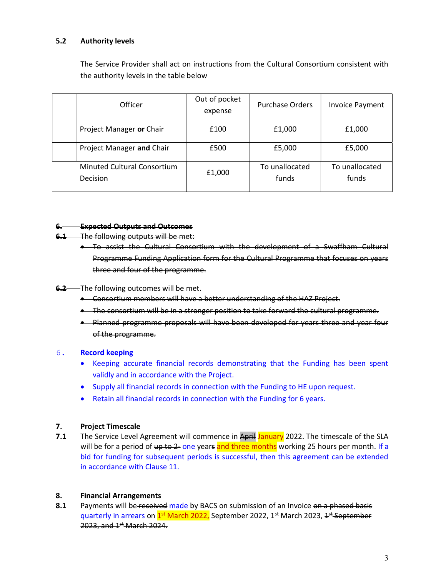# 5.2 Authority levels

The Service Provider shall act on instructions from the Cultural Consortium consistent with the authority levels in the table below

| Officer                                        | Out of pocket<br>expense | <b>Purchase Orders</b>  | <b>Invoice Payment</b>  |
|------------------------------------------------|--------------------------|-------------------------|-------------------------|
| Project Manager or Chair                       | £100                     | £1,000                  | £1,000                  |
| Project Manager and Chair                      | £500                     | £5,000                  | £5,000                  |
| <b>Minuted Cultural Consortium</b><br>Decision | £1,000                   | To unallocated<br>funds | To unallocated<br>funds |

#### 6. Expected Outputs and Outcomes

- 6.1 The following outputs will be met:
	- To assist the Cultural Consortium with the development of a Swaffham Cultural Programme Funding Application form for the Cultural Programme that focuses on years three and four of the programme.

### 6.2 The following outcomes will be met.

- Consortium members will have a better understanding of the HAZ Project.
- The consortium will be in a stronger position to take forward the cultural programme.
- Planned programme proposals will have been developed for years three and year four of the programme.

#### 6. Record keeping

- Keeping accurate financial records demonstrating that the Funding has been spent validly and in accordance with the Project.
- Supply all financial records in connection with the Funding to HE upon request.
- Retain all financial records in connection with the Funding for 6 years.

#### 7. Project Timescale

7.1 The Service Level Agreement will commence in April January 2022. The timescale of the SLA will be for a period of up to 2- one years and three months working 25 hours per month. If a bid for funding for subsequent periods is successful, then this agreement can be extended in accordance with Clause 11.

#### 8. Financial Arrangements

8.1 Payments will be received made by BACS on submission of an Invoice on a phased basis quarterly in arrears on <sup>1st</sup> March 2022, September 2022, 1<sup>st</sup> March 2023, <del>1<sup>st</sup> September</del> 2023, and 1<sup>st</sup> March 2024.